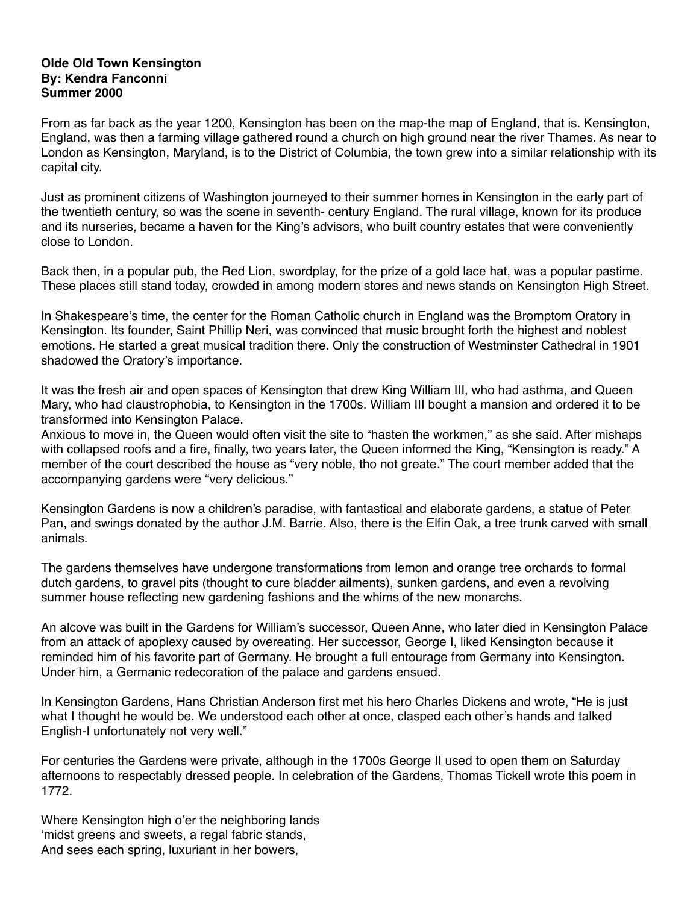## **Olde Old Town Kensington By: Kendra Fanconni Summer 2000**

From as far back as the year 1200, Kensington has been on the map-the map of England, that is. Kensington, England, was then a farming village gathered round a church on high ground near the river Thames. As near to London as Kensington, Maryland, is to the District of Columbia, the town grew into a similar relationship with its capital city.

Just as prominent citizens of Washington journeyed to their summer homes in Kensington in the early part of the twentieth century, so was the scene in seventh- century England. The rural village, known for its produce and its nurseries, became a haven for the King's advisors, who built country estates that were conveniently close to London.

Back then, in a popular pub, the Red Lion, swordplay, for the prize of a gold lace hat, was a popular pastime. These places still stand today, crowded in among modern stores and news stands on Kensington High Street.

In Shakespeare's time, the center for the Roman Catholic church in England was the Bromptom Oratory in Kensington. Its founder, Saint Phillip Neri, was convinced that music brought forth the highest and noblest emotions. He started a great musical tradition there. Only the construction of Westminster Cathedral in 1901 shadowed the Oratory's importance.

It was the fresh air and open spaces of Kensington that drew King William III, who had asthma, and Queen Mary, who had claustrophobia, to Kensington in the 1700s. William III bought a mansion and ordered it to be transformed into Kensington Palace.

Anxious to move in, the Queen would often visit the site to "hasten the workmen," as she said. After mishaps with collapsed roofs and a fire, finally, two years later, the Queen informed the King, "Kensington is ready." A member of the court described the house as "very noble, tho not greate." The court member added that the accompanying gardens were "very delicious."

Kensington Gardens is now a children's paradise, with fantastical and elaborate gardens, a statue of Peter Pan, and swings donated by the author J.M. Barrie. Also, there is the Elfin Oak, a tree trunk carved with small animals.

The gardens themselves have undergone transformations from lemon and orange tree orchards to formal dutch gardens, to gravel pits (thought to cure bladder ailments), sunken gardens, and even a revolving summer house reflecting new gardening fashions and the whims of the new monarchs.

An alcove was built in the Gardens for William's successor, Queen Anne, who later died in Kensington Palace from an attack of apoplexy caused by overeating. Her successor, George I, liked Kensington because it reminded him of his favorite part of Germany. He brought a full entourage from Germany into Kensington. Under him, a Germanic redecoration of the palace and gardens ensued.

In Kensington Gardens, Hans Christian Anderson first met his hero Charles Dickens and wrote, "He is just what I thought he would be. We understood each other at once, clasped each other's hands and talked English-I unfortunately not very well."

For centuries the Gardens were private, although in the 1700s George II used to open them on Saturday afternoons to respectably dressed people. In celebration of the Gardens, Thomas Tickell wrote this poem in 1772.

Where Kensington high o'er the neighboring lands 'midst greens and sweets, a regal fabric stands, And sees each spring, luxuriant in her bowers,